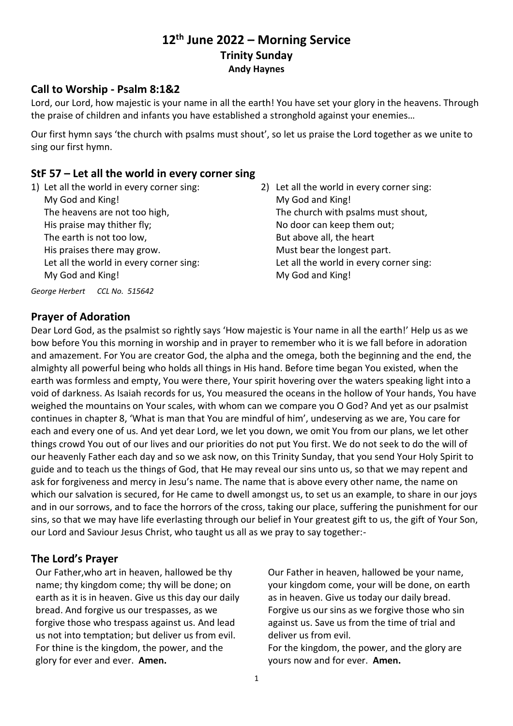# **12th June 2022 – Morning Service Trinity Sunday Andy Haynes**

### **Call to Worship - Psalm 8:1&2**

Lord, our Lord, how majestic is your name in all the earth! You have set your glory in the heavens. Through the praise of children and infants you have established a stronghold against your enemies…

Our first hymn says 'the church with psalms must shout', so let us praise the Lord together as we unite to sing our first hymn.

## **StF 57 – Let all the world in every corner sing**

- 1) Let all the world in every corner sing: My God and King! The heavens are not too high, His praise may thither fly; The earth is not too low, His praises there may grow. Let all the world in every corner sing: My God and King!
- 2) Let all the world in every corner sing: My God and King! The church with psalms must shout, No door can keep them out; But above all, the heart Must bear the longest part. Let all the world in every corner sing: My God and King!

*George Herbert CCL No. 515642*

### **Prayer of Adoration**

Dear Lord God, as the psalmist so rightly says 'How majestic is Your name in all the earth!' Help us as we bow before You this morning in worship and in prayer to remember who it is we fall before in adoration and amazement. For You are creator God, the alpha and the omega, both the beginning and the end, the almighty all powerful being who holds all things in His hand. Before time began You existed, when the earth was formless and empty, You were there, Your spirit hovering over the waters speaking light into a void of darkness. As Isaiah records for us, You measured the oceans in the hollow of Your hands, You have weighed the mountains on Your scales, with whom can we compare you O God? And yet as our psalmist continues in chapter 8, 'What is man that You are mindful of him', undeserving as we are, You care for each and every one of us. And yet dear Lord, we let you down, we omit You from our plans, we let other things crowd You out of our lives and our priorities do not put You first. We do not seek to do the will of our heavenly Father each day and so we ask now, on this Trinity Sunday, that you send Your Holy Spirit to guide and to teach us the things of God, that He may reveal our sins unto us, so that we may repent and ask for forgiveness and mercy in Jesu's name. The name that is above every other name, the name on which our salvation is secured, for He came to dwell amongst us, to set us an example, to share in our joys and in our sorrows, and to face the horrors of the cross, taking our place, suffering the punishment for our sins, so that we may have life everlasting through our belief in Your greatest gift to us, the gift of Your Son, our Lord and Saviour Jesus Christ, who taught us all as we pray to say together:-

# **The Lord's Prayer**

Our Father,who art in heaven, hallowed be thy name; thy kingdom come; thy will be done; on earth as it is in heaven. Give us this day our daily bread. And forgive us our trespasses, as we forgive those who trespass against us. And lead us not into temptation; but deliver us from evil. For thine is the kingdom, the power, and the glory for ever and ever. **Amen.**

Our Father in heaven, hallowed be your name, your kingdom come, your will be done, on earth as in heaven. Give us today our daily bread. Forgive us our sins as we forgive those who sin against us. Save us from the time of trial and deliver us from evil.

For the kingdom, the power, and the glory are yours now and for ever. **Amen.**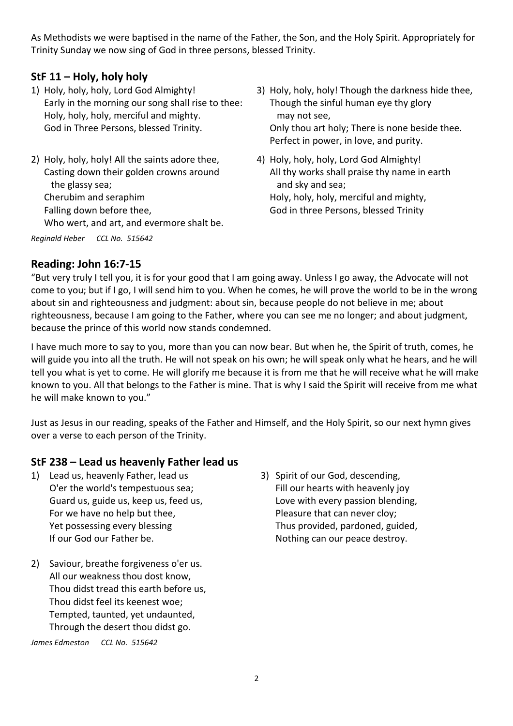As Methodists we were baptised in the name of the Father, the Son, and the Holy Spirit. Appropriately for Trinity Sunday we now sing of God in three persons, blessed Trinity.

# **StF 11 – Holy, holy holy**

- 1) Holy, holy, holy, Lord God Almighty! Early in the morning our song shall rise to thee: Holy, holy, holy, merciful and mighty. God in Three Persons, blessed Trinity.
- 2) Holy, holy, holy! All the saints adore thee, Casting down their golden crowns around the glassy sea; Cherubim and seraphim Falling down before thee, Who wert, and art, and evermore shalt be.

*Reginald Heber CCL No. 515642*

- 3) Holy, holy, holy! Though the darkness hide thee, Though the sinful human eye thy glory may not see, Only thou art holy; There is none beside thee. Perfect in power, in love, and purity.
- 4) Holy, holy, holy, Lord God Almighty! All thy works shall praise thy name in earth and sky and sea; Holy, holy, holy, merciful and mighty, God in three Persons, blessed Trinity

#### **Reading: John 16:7-15**

"But very truly I tell you, it is for your good that I am going away. Unless I go away, the Advocate will not come to you; but if I go, I will send him to you. When he comes, he will prove the world to be in the wrong about sin and righteousness and judgment: about sin, because people do not believe in me; about righteousness, because I am going to the Father, where you can see me no longer; and about judgment, because the prince of this world now stands condemned.

I have much more to say to you, more than you can now bear. But when he, the Spirit of truth, comes, he will guide you into all the truth. He will not speak on his own; he will speak only what he hears, and he will tell you what is yet to come. He will glorify me because it is from me that he will receive what he will make known to you. All that belongs to the Father is mine. That is why I said the Spirit will receive from me what he will make known to you."

Just as Jesus in our reading, speaks of the Father and Himself, and the Holy Spirit, so our next hymn gives over a verse to each person of the Trinity.

#### **StF 238 – Lead us heavenly Father lead us**

- 1) Lead us, heavenly Father, lead us O'er the world's tempestuous sea; Guard us, guide us, keep us, feed us, For we have no help but thee, Yet possessing every blessing If our God our Father be.
- 2) Saviour, breathe forgiveness o'er us. All our weakness thou dost know, Thou didst tread this earth before us, Thou didst feel its keenest woe; Tempted, taunted, yet undaunted, Through the desert thou didst go.

*James Edmeston CCL No. 515642*

3) Spirit of our God, descending, Fill our hearts with heavenly joy Love with every passion blending, Pleasure that can never cloy; Thus provided, pardoned, guided, Nothing can our peace destroy.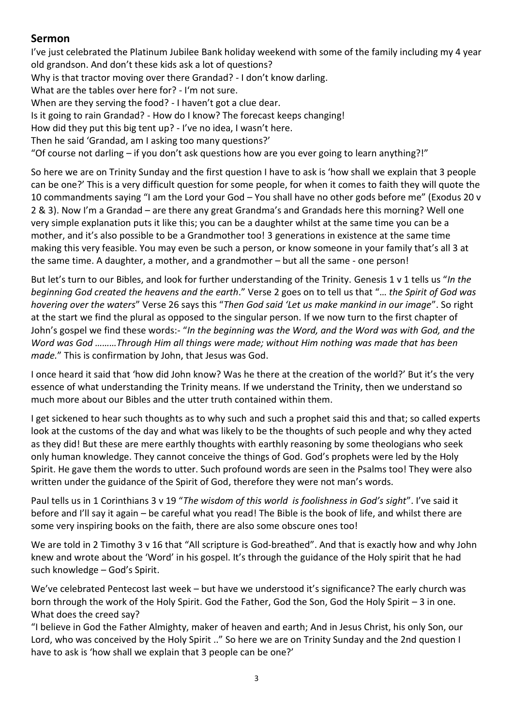## **Sermon**

I've just celebrated the Platinum Jubilee Bank holiday weekend with some of the family including my 4 year old grandson. And don't these kids ask a lot of questions? Why is that tractor moving over there Grandad? - I don't know darling. What are the tables over here for? - I'm not sure. When are they serving the food? - I haven't got a clue dear. Is it going to rain Grandad? - How do I know? The forecast keeps changing! How did they put this big tent up? - I've no idea, I wasn't here. Then he said 'Grandad, am I asking too many questions?' "Of course not darling – if you don't ask questions how are you ever going to learn anything?!"

So here we are on Trinity Sunday and the first question I have to ask is 'how shall we explain that 3 people can be one?' This is a very difficult question for some people, for when it comes to faith they will quote the 10 commandments saying "I am the Lord your God – You shall have no other gods before me" (Exodus 20 v 2 & 3). Now I'm a Grandad – are there any great Grandma's and Grandads here this morning? Well one very simple explanation puts it like this; you can be a daughter whilst at the same time you can be a mother, and it's also possible to be a Grandmother too! 3 generations in existence at the same time making this very feasible. You may even be such a person, or know someone in your family that's all 3 at the same time. A daughter, a mother, and a grandmother – but all the same - one person!

But let's turn to our Bibles, and look for further understanding of the Trinity. Genesis 1 v 1 tells us "*In the beginning God created the heavens and the earth*." Verse 2 goes on to tell us that "… *the Spirit of God was hovering over the waters*" Verse 26 says this "*Then God said 'Let us make mankind in our image*". So right at the start we find the plural as opposed to the singular person. If we now turn to the first chapter of John's gospel we find these words:- "*In the beginning was the Word, and the Word was with God, and the Word was God ………Through Him all things were made; without Him nothing was made that has been made.*" This is confirmation by John, that Jesus was God.

I once heard it said that 'how did John know? Was he there at the creation of the world?' But it's the very essence of what understanding the Trinity means. If we understand the Trinity, then we understand so much more about our Bibles and the utter truth contained within them.

I get sickened to hear such thoughts as to why such and such a prophet said this and that; so called experts look at the customs of the day and what was likely to be the thoughts of such people and why they acted as they did! But these are mere earthly thoughts with earthly reasoning by some theologians who seek only human knowledge. They cannot conceive the things of God. God's prophets were led by the Holy Spirit. He gave them the words to utter. Such profound words are seen in the Psalms too! They were also written under the guidance of the Spirit of God, therefore they were not man's words.

Paul tells us in 1 Corinthians 3 v 19 "*The wisdom of this world is foolishness in God's sight*". I've said it before and I'll say it again – be careful what you read! The Bible is the book of life, and whilst there are some very inspiring books on the faith, there are also some obscure ones too!

We are told in 2 Timothy 3 v 16 that "All scripture is God-breathed". And that is exactly how and why John knew and wrote about the 'Word' in his gospel. It's through the guidance of the Holy spirit that he had such knowledge – God's Spirit.

We've celebrated Pentecost last week – but have we understood it's significance? The early church was born through the work of the Holy Spirit. God the Father, God the Son, God the Holy Spirit – 3 in one. What does the creed say?

"I believe in God the Father Almighty, maker of heaven and earth; And in Jesus Christ, his only Son, our Lord, who was conceived by the Holy Spirit .." So here we are on Trinity Sunday and the 2nd question I have to ask is 'how shall we explain that 3 people can be one?'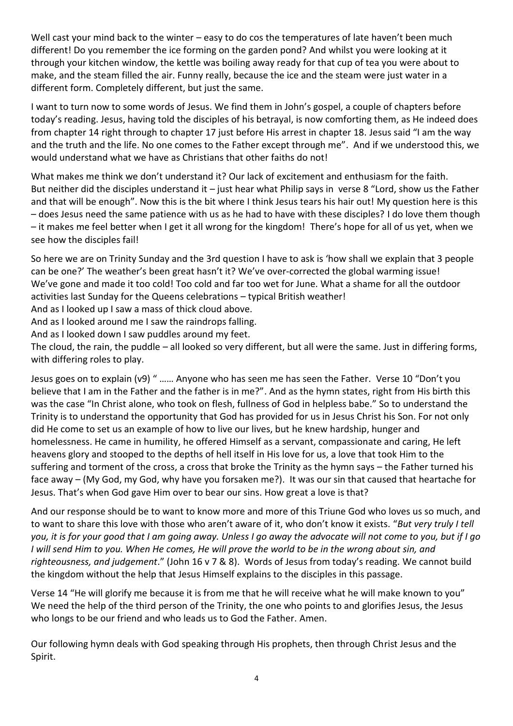Well cast your mind back to the winter – easy to do cos the temperatures of late haven't been much different! Do you remember the ice forming on the garden pond? And whilst you were looking at it through your kitchen window, the kettle was boiling away ready for that cup of tea you were about to make, and the steam filled the air. Funny really, because the ice and the steam were just water in a different form. Completely different, but just the same.

I want to turn now to some words of Jesus. We find them in John's gospel, a couple of chapters before today's reading. Jesus, having told the disciples of his betrayal, is now comforting them, as He indeed does from chapter 14 right through to chapter 17 just before His arrest in chapter 18. Jesus said "I am the way and the truth and the life. No one comes to the Father except through me". And if we understood this, we would understand what we have as Christians that other faiths do not!

What makes me think we don't understand it? Our lack of excitement and enthusiasm for the faith. But neither did the disciples understand it – just hear what Philip says in verse 8 "Lord, show us the Father and that will be enough". Now this is the bit where I think Jesus tears his hair out! My question here is this – does Jesus need the same patience with us as he had to have with these disciples? I do love them though – it makes me feel better when I get it all wrong for the kingdom! There's hope for all of us yet, when we see how the disciples fail!

So here we are on Trinity Sunday and the 3rd question I have to ask is 'how shall we explain that 3 people can be one?' The weather's been great hasn't it? We've over-corrected the global warming issue! We've gone and made it too cold! Too cold and far too wet for June. What a shame for all the outdoor activities last Sunday for the Queens celebrations – typical British weather!

And as I looked up I saw a mass of thick cloud above.

And as I looked around me I saw the raindrops falling.

And as I looked down I saw puddles around my feet.

The cloud, the rain, the puddle – all looked so very different, but all were the same. Just in differing forms, with differing roles to play.

Jesus goes on to explain (v9) " …… Anyone who has seen me has seen the Father. Verse 10 "Don't you believe that I am in the Father and the father is in me?". And as the hymn states, right from His birth this was the case "In Christ alone, who took on flesh, fullness of God in helpless babe." So to understand the Trinity is to understand the opportunity that God has provided for us in Jesus Christ his Son. For not only did He come to set us an example of how to live our lives, but he knew hardship, hunger and homelessness. He came in humility, he offered Himself as a servant, compassionate and caring, He left heavens glory and stooped to the depths of hell itself in His love for us, a love that took Him to the suffering and torment of the cross, a cross that broke the Trinity as the hymn says – the Father turned his face away – (My God, my God, why have you forsaken me?). It was our sin that caused that heartache for Jesus. That's when God gave Him over to bear our sins. How great a love is that?

And our response should be to want to know more and more of this Triune God who loves us so much, and to want to share this love with those who aren't aware of it, who don't know it exists. "*But very truly I tell you, it is for your good that I am going away. Unless I go away the advocate will not come to you, but if I go I will send Him to you. When He comes, He will prove the world to be in the wrong about sin, and righteousness, and judgement*." (John 16 v 7 & 8). Words of Jesus from today's reading. We cannot build the kingdom without the help that Jesus Himself explains to the disciples in this passage.

Verse 14 "He will glorify me because it is from me that he will receive what he will make known to you" We need the help of the third person of the Trinity, the one who points to and glorifies Jesus, the Jesus who longs to be our friend and who leads us to God the Father. Amen.

Our following hymn deals with God speaking through His prophets, then through Christ Jesus and the Spirit.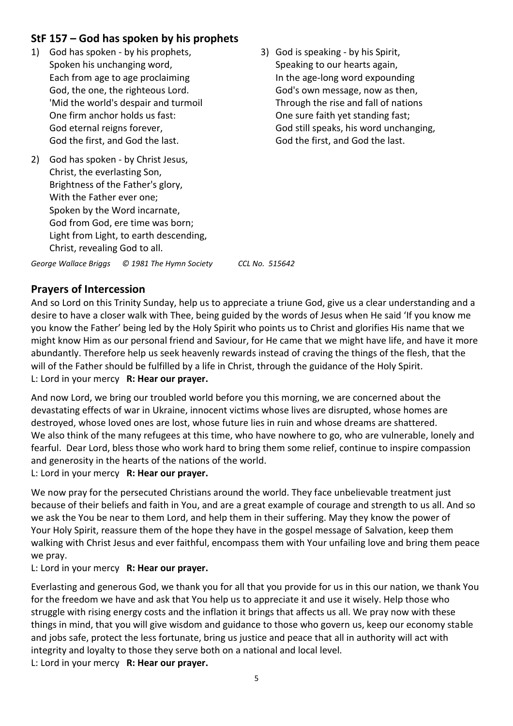# **StF 157 – God has spoken by his prophets**

- 1) God has spoken by his prophets, Spoken his unchanging word, Each from age to age proclaiming God, the one, the righteous Lord. 'Mid the world's despair and turmoil One firm anchor holds us fast: God eternal reigns forever, God the first, and God the last.
- 2) God has spoken by Christ Jesus, Christ, the everlasting Son, Brightness of the Father's glory, With the Father ever one; Spoken by the Word incarnate, God from God, ere time was born; Light from Light, to earth descending, Christ, revealing God to all.
- 3) God is speaking by his Spirit, Speaking to our hearts again, In the age-long word expounding God's own message, now as then, Through the rise and fall of nations One sure faith yet standing fast; God still speaks, his word unchanging, God the first, and God the last.

*George Wallace Briggs © 1981 The Hymn Society CCL No. 515642*

### **Prayers of Intercession**

And so Lord on this Trinity Sunday, help us to appreciate a triune God, give us a clear understanding and a desire to have a closer walk with Thee, being guided by the words of Jesus when He said 'If you know me you know the Father' being led by the Holy Spirit who points us to Christ and glorifies His name that we might know Him as our personal friend and Saviour, for He came that we might have life, and have it more abundantly. Therefore help us seek heavenly rewards instead of craving the things of the flesh, that the will of the Father should be fulfilled by a life in Christ, through the guidance of the Holy Spirit. L: Lord in your mercy **R: Hear our prayer.**

And now Lord, we bring our troubled world before you this morning, we are concerned about the devastating effects of war in Ukraine, innocent victims whose lives are disrupted, whose homes are destroyed, whose loved ones are lost, whose future lies in ruin and whose dreams are shattered. We also think of the many refugees at this time, who have nowhere to go, who are vulnerable, lonely and fearful. Dear Lord, bless those who work hard to bring them some relief, continue to inspire compassion and generosity in the hearts of the nations of the world.

L: Lord in your mercy **R: Hear our prayer.**

We now pray for the persecuted Christians around the world. They face unbelievable treatment just because of their beliefs and faith in You, and are a great example of courage and strength to us all. And so we ask the You be near to them Lord, and help them in their suffering. May they know the power of Your Holy Spirit, reassure them of the hope they have in the gospel message of Salvation, keep them walking with Christ Jesus and ever faithful, encompass them with Your unfailing love and bring them peace we pray.

L: Lord in your mercy **R: Hear our prayer.**

Everlasting and generous God, we thank you for all that you provide for us in this our nation, we thank You for the freedom we have and ask that You help us to appreciate it and use it wisely. Help those who struggle with rising energy costs and the inflation it brings that affects us all. We pray now with these things in mind, that you will give wisdom and guidance to those who govern us, keep our economy stable and jobs safe, protect the less fortunate, bring us justice and peace that all in authority will act with integrity and loyalty to those they serve both on a national and local level. L: Lord in your mercy **R: Hear our prayer.**